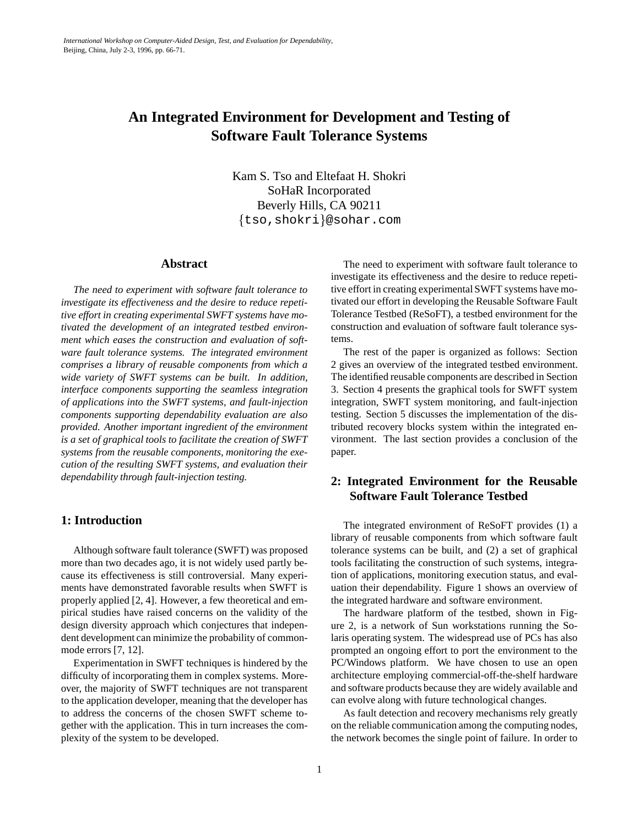# **An Integrated Environment for Development and Testing of Software Fault Tolerance Systems**

Kam S. Tso and Eltefaat H. Shokri SoHaR Incorporated Beverly Hills, CA 90211 ftso,shokrig@sohar.com

### **Abstract**

*The need to experiment with software fault tolerance to investigate its effectiveness and the desire to reduce repetitive effort in creating experimental SWFT systems have motivated the development of an integrated testbed environment which eases the construction and evaluation of software fault tolerance systems. The integrated environment comprises a library of reusable components from which a wide variety of SWFT systems can be built. In addition, interface components supporting the seamless integration of applications into the SWFT systems, and fault-injection components supporting dependability evaluation are also provided. Another important ingredient of the environment is a set of graphical tools to facilitate the creation of SWFT systems from the reusable components, monitoring the execution of the resulting SWFT systems, and evaluation their dependability through fault-injection testing.*

### **1: Introduction**

Although software fault tolerance (SWFT) was proposed more than two decades ago, it is not widely used partly because its effectiveness is still controversial. Many experiments have demonstrated favorable results when SWFT is properly applied [2, 4]. However, a few theoretical and empirical studies have raised concerns on the validity of the design diversity approach which conjectures that independent development can minimize the probability of commonmode errors [7, 12].

Experimentation in SWFT techniques is hindered by the difficulty of incorporating them in complex systems. Moreover, the majority of SWFT techniques are not transparent to the application developer, meaning that the developer has to address the concerns of the chosen SWFT scheme together with the application. This in turn increases the complexity of the system to be developed.

The need to experiment with software fault tolerance to investigate its effectiveness and the desire to reduce repetitive effort in creating experimental SWFT systems have motivated our effort in developing the Reusable Software Fault Tolerance Testbed (ReSoFT), a testbed environment for the construction and evaluation of software fault tolerance systems.

The rest of the paper is organized as follows: Section 2 gives an overview of the integrated testbed environment. The identified reusable components are described in Section 3. Section 4 presents the graphical tools for SWFT system integration, SWFT system monitoring, and fault-injection testing. Section 5 discusses the implementation of the distributed recovery blocks system within the integrated environment. The last section provides a conclusion of the paper.

# **2: Integrated Environment for the Reusable Software Fault Tolerance Testbed**

The integrated environment of ReSoFT provides (1) a library of reusable components from which software fault tolerance systems can be built, and (2) a set of graphical tools facilitating the construction of such systems, integration of applications, monitoring execution status, and evaluation their dependability. Figure 1 shows an overview of the integrated hardware and software environment.

The hardware platform of the testbed, shown in Figure 2, is a network of Sun workstations running the Solaris operating system. The widespread use of PCs has also prompted an ongoing effort to port the environment to the PC/Windows platform. We have chosen to use an open architecture employing commercial-off-the-shelf hardware and software products because they are widely available and can evolve along with future technological changes.

As fault detection and recovery mechanisms rely greatly on the reliable communication among the computing nodes, the network becomes the single point of failure. In order to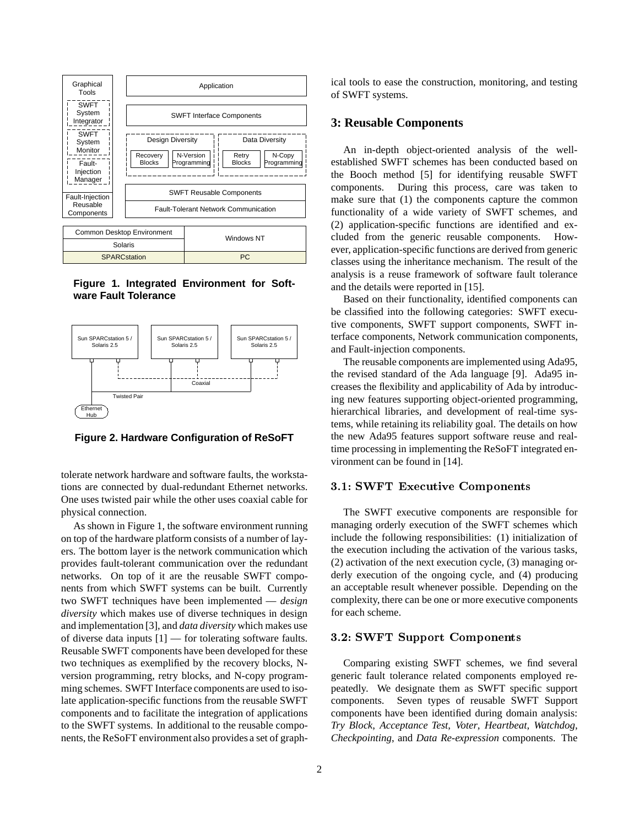

**Figure 1. Integrated Environment for Software Fault Tolerance**



**Figure 2. Hardware Configuration of ReSoFT**

tolerate network hardware and software faults, the workstations are connected by dual-redundant Ethernet networks. One uses twisted pair while the other uses coaxial cable for physical connection.

As shown in Figure 1, the software environment running on top of the hardware platform consists of a number of layers. The bottom layer is the network communication which provides fault-tolerant communication over the redundant networks. On top of it are the reusable SWFT components from which SWFT systems can be built. Currently two SWFT techniques have been implemented — *design diversity* which makes use of diverse techniques in design and implementation [3], and *data diversity* which makes use of diverse data inputs [1] — for tolerating software faults. Reusable SWFT components have been developed for these two techniques as exemplified by the recovery blocks, Nversion programming, retry blocks, and N-copy programming schemes. SWFT Interface components are used to isolate application-specific functions from the reusable SWFT components and to facilitate the integration of applications to the SWFT systems. In additional to the reusable components, the ReSoFT environment also provides a set of graphical tools to ease the construction, monitoring, and testing of SWFT systems.

### **3: Reusable Components**

An in-depth object-oriented analysis of the wellestablished SWFT schemes has been conducted based on the Booch method [5] for identifying reusable SWFT components. During this process, care was taken to make sure that (1) the components capture the common functionality of a wide variety of SWFT schemes, and (2) application-specific functions are identified and excluded from the generic reusable components. However, application-specific functions are derived from generic classes using the inheritance mechanism. The result of the analysis is a reuse framework of software fault tolerance and the details were reported in [15].

Based on their functionality, identified components can be classified into the following categories: SWFT executive components, SWFT support components, SWFT interface components, Network communication components, and Fault-injection components.

The reusable components are implemented using Ada95, the revised standard of the Ada language [9]. Ada95 increases the flexibility and applicability of Ada by introducing new features supporting object-oriented programming, hierarchical libraries, and development of real-time systems, while retaining its reliability goal. The details on how the new Ada95 features support software reuse and realtime processing in implementing the ReSoFT integrated environment can be found in [14].

#### s sweep and the components of the components of the components of the components of the components of the components of the components of the components of the components of the components of the components of the componen

The SWFT executive components are responsible for managing orderly execution of the SWFT schemes which include the following responsibilities: (1) initialization of the execution including the activation of the various tasks, (2) activation of the next execution cycle, (3) managing orderly execution of the ongoing cycle, and (4) producing an acceptable result whenever possible. Depending on the complexity, there can be one or more executive components for each scheme.

#### s. Support Components Components Components Components Components Components Components Components Components Components Components Components Components Components Components Components Components Components Components Co

Comparing existing SWFT schemes, we find several generic fault tolerance related components employed repeatedly. We designate them as SWFT specific support components. Seven types of reusable SWFT Support components have been identified during domain analysis: *Try Block*, *Acceptance Test*, *Voter*, *Heartbeat*, *Watchdog*, *Checkpointing*, and *Data Re-expression* components. The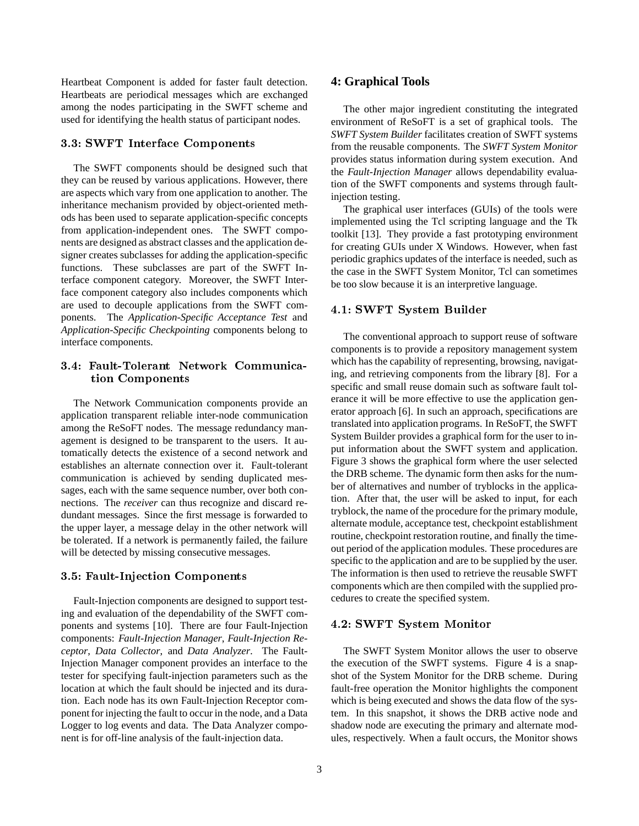Heartbeat Component is added for faster fault detection. Heartbeats are periodical messages which are exchanged among the nodes participating in the SWFT scheme and used for identifying the health status of participant nodes.

#### sweet in the components of the components of the components of the components of the components of the components of the components of the components of the components of the components of the components of the components

The SWFT components should be designed such that they can be reused by various applications. However, there are aspects which vary from one application to another. The inheritance mechanism provided by object-oriented methods has been used to separate application-specific concepts from application-independent ones. The SWFT components are designed as abstract classes and the application designer creates subclasses for adding the application-specific functions. These subclasses are part of the SWFT Interface component category. Moreover, the SWFT Interface component category also includes components which are used to decouple applications from the SWFT components. The *Application-Specific Acceptance Test* and *Application-Specific Checkpointing* components belong to interface components.

### Fault Tolerant Communication Communication Communication Communication Communication Communication Communication tion Components

The Network Communication components provide an application transparent reliable inter-node communication among the ReSoFT nodes. The message redundancy management is designed to be transparent to the users. It automatically detects the existence of a second network and establishes an alternate connection over it. Fault-tolerant communication is achieved by sending duplicated messages, each with the same sequence number, over both connections. The *receiver* can thus recognize and discard redundant messages. Since the first message is forwarded to the upper layer, a message delay in the other network will be tolerated. If a network is permanently failed, the failure will be detected by missing consecutive messages.

#### FaultInjection Components

Fault-Injection components are designed to support testing and evaluation of the dependability of the SWFT components and systems [10]. There are four Fault-Injection components: *Fault-Injection Manager*, *Fault-Injection Receptor*, *Data Collector*, and *Data Analyzer*. The Fault-Injection Manager component provides an interface to the tester for specifying fault-injection parameters such as the location at which the fault should be injected and its duration. Each node has its own Fault-Injection Receptor component for injecting the fault to occur in the node, and a Data Logger to log events and data. The Data Analyzer component is for off-line analysis of the fault-injection data.

### **4: Graphical Tools**

The other major ingredient constituting the integrated environment of ReSoFT is a set of graphical tools. The *SWFT System Builder* facilitates creation of SWFT systems from the reusable components. The *SWFT System Monitor* provides status information during system execution. And the *Fault-Injection Manager* allows dependability evaluation of the SWFT components and systems through faultinjection testing.

The graphical user interfaces (GUIs) of the tools were implemented using the Tcl scripting language and the Tk toolkit [13]. They provide a fast prototyping environment for creating GUIs under X Windows. However, when fast periodic graphics updates of the interface is needed, such as the case in the SWFT System Monitor, Tcl can sometimes be too slow because it is an interpretive language.

#### - SWFT System Builder

The conventional approach to support reuse of software components is to provide a repository management system which has the capability of representing, browsing, navigating, and retrieving components from the library [8]. For a specific and small reuse domain such as software fault tolerance it will be more effective to use the application generator approach [6]. In such an approach, specifications are translated into application programs. In ReSoFT, the SWFT System Builder provides a graphical form for the user to input information about the SWFT system and application. Figure 3 shows the graphical form where the user selected the DRB scheme. The dynamic form then asks for the number of alternatives and number of tryblocks in the application. After that, the user will be asked to input, for each tryblock, the name of the procedure for the primary module, alternate module, acceptance test, checkpoint establishment routine, checkpoint restoration routine, and finally the timeout period of the application modules. These procedures are specific to the application and are to be supplied by the user. The information is then used to retrieve the reusable SWFT components which are then compiled with the supplied procedures to create the specified system.

#### $S_{\text{S}}$  system and  $S_{\text{S}}$  subsequently set of  $S_{\text{S}}$

The SWFT System Monitor allows the user to observe the execution of the SWFT systems. Figure 4 is a snapshot of the System Monitor for the DRB scheme. During fault-free operation the Monitor highlights the component which is being executed and shows the data flow of the system. In this snapshot, it shows the DRB active node and shadow node are executing the primary and alternate modules, respectively. When a fault occurs, the Monitor shows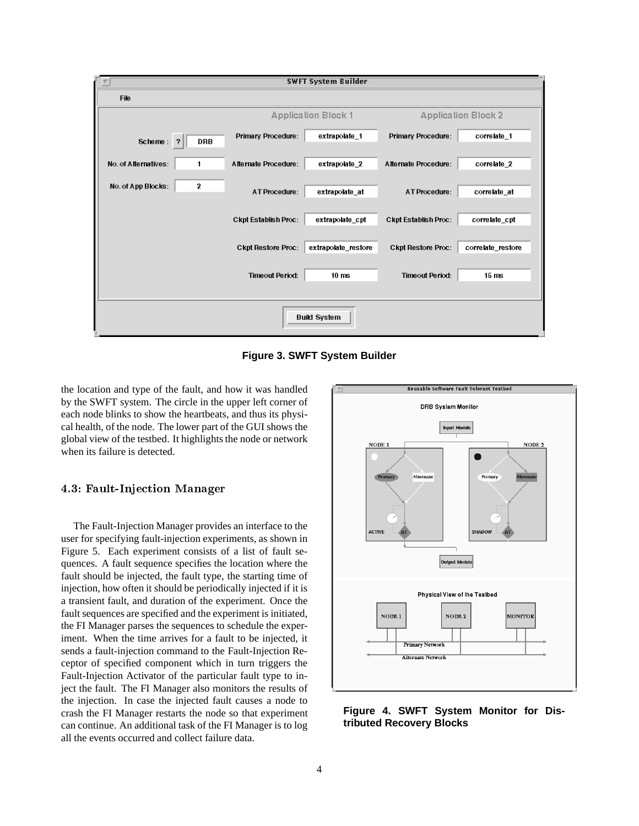| <b>SWFT System Builder</b> |              |                             |                     |                             |                   |
|----------------------------|--------------|-----------------------------|---------------------|-----------------------------|-------------------|
| File                       |              |                             |                     |                             |                   |
|                            |              | <b>Application Block 1</b>  |                     | <b>Application Block 2</b>  |                   |
| Scheme: ?                  | <b>DRB</b>   | <b>Primary Procedure:</b>   | extrapolate_1       | <b>Primary Procedure:</b>   | correlate_1       |
| No. of Alternatives:       | 1            | Alternate Procedure:        | extrapolate_2       | Alternate Procedure:        | correlate_2       |
| No. of App Blocks:         | $\mathbf{2}$ | AT Procedure:               | extrapolate_at      | AT Procedure:               | correlate_at      |
|                            |              | <b>Ckpt Establish Proc:</b> | extrapolate cpt     | <b>Ckpt Establish Proc:</b> | correlate cpt     |
|                            |              | <b>Ckpt Restore Proc:</b>   | extrapolate_restore | <b>Ckpt Restore Proc:</b>   | correlate_restore |
|                            |              | <b>Timeout Period:</b>      | 10 <sub>ms</sub>    | <b>Timeout Period:</b>      | 15 <sub>ms</sub>  |
|                            |              |                             |                     |                             |                   |
| <b>Build System</b>        |              |                             |                     |                             |                   |

**Figure 3. SWFT System Builder**

the location and type of the fault, and how it was handled by the SWFT system. The circle in the upper left corner of each node blinks to show the heartbeats, and thus its physical health, of the node. The lower part of the GUI shows the global view of the testbed. It highlights the node or network when its failure is detected.

#### FaultInjection Manager

The Fault-Injection Manager provides an interface to the user for specifying fault-injection experiments, as shown in Figure 5. Each experiment consists of a list of fault sequences. A fault sequence specifies the location where the fault should be injected, the fault type, the starting time of injection, how often it should be periodically injected if it is a transient fault, and duration of the experiment. Once the fault sequences are specified and the experiment is initiated, the FI Manager parses the sequences to schedule the experiment. When the time arrives for a fault to be injected, it sends a fault-injection command to the Fault-Injection Receptor of specified component which in turn triggers the Fault-Injection Activator of the particular fault type to inject the fault. The FI Manager also monitors the results of the injection. In case the injected fault causes a node to crash the FI Manager restarts the node so that experiment can continue. An additional task of the FI Manager is to log all the events occurred and collect failure data.



**Figure 4. SWFT System Monitor for Distributed Recovery Blocks**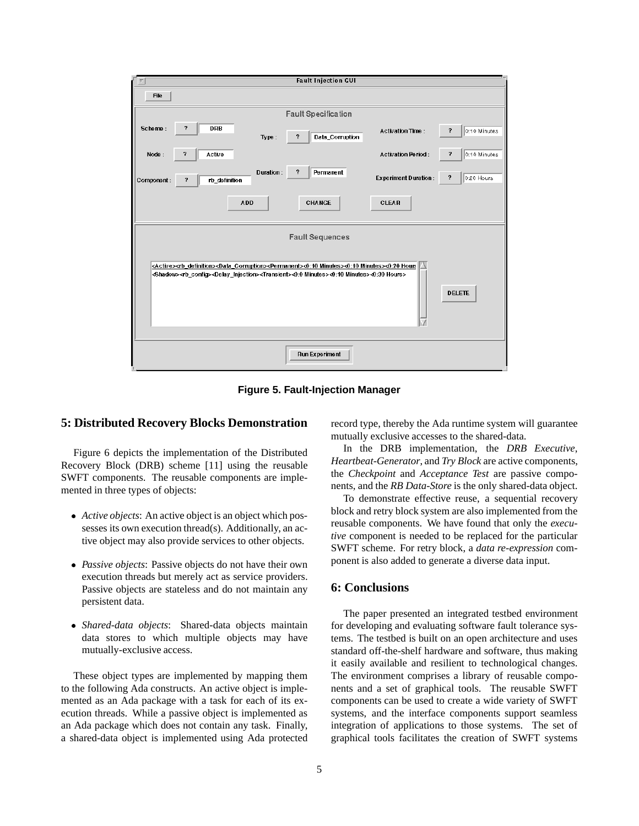

**Figure 5. Fault-Injection Manager**

## **5: Distributed Recovery Blocks Demonstration**

Figure 6 depicts the implementation of the Distributed Recovery Block (DRB) scheme [11] using the reusable SWFT components. The reusable components are implemented in three types of objects:

- *Active objects*: An active object is an object which possesses its own execution thread(s). Additionally, an active object may also provide services to other objects.
- *Passive objects*: Passive objects do not have their own execution threads but merely act as service providers. Passive objects are stateless and do not maintain any persistent data.
- *Shared-data objects*: Shared-data objects maintain data stores to which multiple objects may have mutually-exclusive access.

These object types are implemented by mapping them to the following Ada constructs. An active object is implemented as an Ada package with a task for each of its execution threads. While a passive object is implemented as an Ada package which does not contain any task. Finally, a shared-data object is implemented using Ada protected record type, thereby the Ada runtime system will guarantee mutually exclusive accesses to the shared-data.

In the DRB implementation, the *DRB Executive*, *Heartbeat-Generator*, and *Try Block* are active components, the *Checkpoint* and *Acceptance Test* are passive components, and the *RB Data-Store* is the only shared-data object.

To demonstrate effective reuse, a sequential recovery block and retry block system are also implemented from the reusable components. We have found that only the *executive* component is needed to be replaced for the particular SWFT scheme. For retry block, a *data re-expression* component is also added to generate a diverse data input.

### **6: Conclusions**

The paper presented an integrated testbed environment for developing and evaluating software fault tolerance systems. The testbed is built on an open architecture and uses standard off-the-shelf hardware and software, thus making it easily available and resilient to technological changes. The environment comprises a library of reusable components and a set of graphical tools. The reusable SWFT components can be used to create a wide variety of SWFT systems, and the interface components support seamless integration of applications to those systems. The set of graphical tools facilitates the creation of SWFT systems